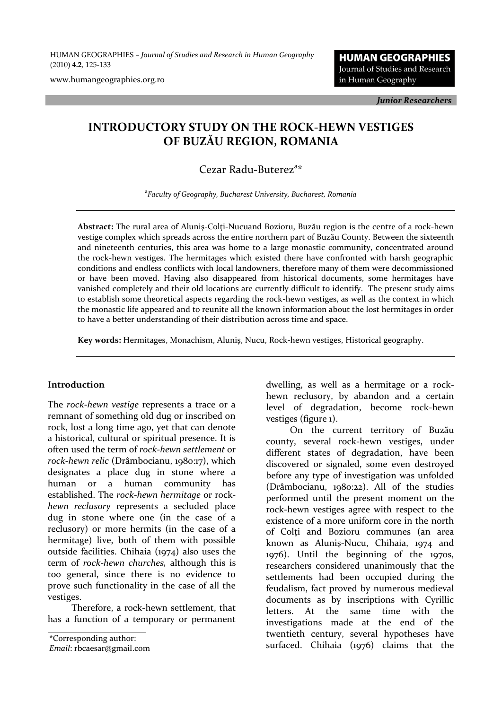HUMAN GEOGRAPHIES *– Journal of Studies and Research in Human Geography* (2010) **4.2**, 125-133

www.humangeographies.org.ro

**HUMAN GEOGRAPHIES** Journal of Studies and Research in Human Geography

*Junior Researchers*

# **INTRODUCTORY STUDY ON THE ROCK-HEWN VESTIGES OF BUZĂU REGION, ROMANIA**

## Cezar Radu-Buterez<sup>a\*</sup>

a *Faculty of Geography, Bucharest University, Bucharest, Romania*

**Abstract:** The rural area of Aluniş-Colţi-Nucuand Bozioru, Buzău region is the centre of a rock-hewn vestige complex which spreads across the entire northern part of Buzău County. Between the sixteenth and nineteenth centuries, this area was home to a large monastic community, concentrated around the rock-hewn vestiges. The hermitages which existed there have confronted with harsh geographic conditions and endless conflicts with local landowners, therefore many of them were decommissioned or have been moved. Having also disappeared from historical documents, some hermitages have vanished completely and their old locations are currently difficult to identify. The present study aims to establish some theoretical aspects regarding the rock-hewn vestiges, as well as the context in which the monastic life appeared and to reunite all the known information about the lost hermitages in order to have a better understanding of their distribution across time and space.

**Key words:** Hermitages, Monachism, Aluniş, Nucu, Rock-hewn vestiges, Historical geography.

#### **Introduction**

The *rock-hewn vestige* represents a trace or a remnant of something old dug or inscribed on rock, lost a long time ago, yet that can denote a historical, cultural or spiritual presence. It is often used the term of *rock-hewn settlement* or *rock-hewn relic* (Drâmbocianu, 1980:17), which designates a place dug in stone where a human or a human community has established. The *rock-hewn hermitage* or rock*hewn reclusory* represents a secluded place dug in stone where one (in the case of a reclusory) or more hermits (in the case of a hermitage) live, both of them with possible outside facilities. Chihaia (1974) also uses the term of *rock-hewn churches,* although this is too general, since there is no evidence to prove such functionality in the case of all the vestiges.

Therefore, a rock-hewn settlement, that has a function of a temporary or permanent

*Email*: rbcaesar@gmail.com

dwelling, as well as a hermitage or a rockhewn reclusory, by abandon and a certain level of degradation, become rock-hewn vestiges (figure 1).

On the current territory of Buzău county, several rock-hewn vestiges, under different states of degradation, have been discovered or signaled, some even destroyed before any type of investigation was unfolded (Drâmbocianu, 1980:22). All of the studies performed until the present moment on the rock-hewn vestiges agree with respect to the existence of a more uniform core in the north of Colti and Bozioru communes (an area known as Aluniş-Nucu, Chihaia, 1974 and 1976). Until the beginning of the 1970s, researchers considered unanimously that the settlements had been occupied during the feudalism, fact proved by numerous medieval documents as by inscriptions with Cyrillic letters. At the same time with the investigations made at the end of the twentieth century, several hypotheses have \*Corresponding author:<br>Frail: rheases may be all the surfaced. Chihaia (1976) claims that the \*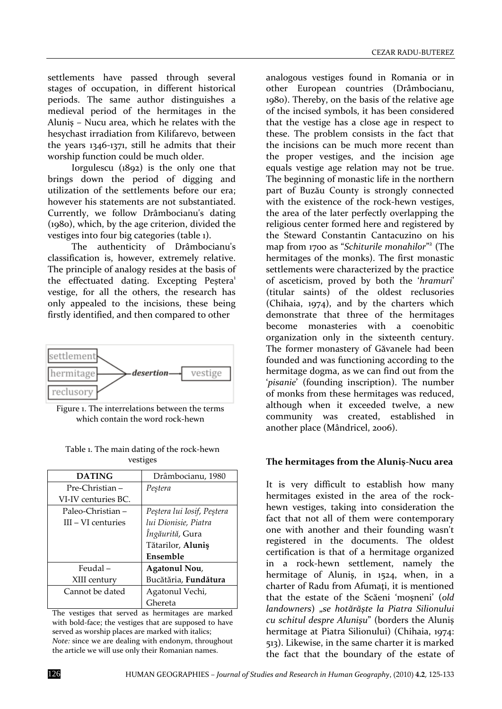settlements have passed through several stages of occupation, in different historical periods. The same author distinguishes a medieval period of the hermitages in the Aluniş – Nucu area, which he relates with the hesychast irradiation from Kilifarevo, between the years 1346-1371, still he admits that their worship function could be much older.

Iorgulescu (1892) is the only one that brings down the period of digging and utilization of the settlements before our era; however his statements are not substantiated. Currently, we follow Drâmbocianu's dating (1980), which, by the age criterion, divided the vestiges into four big categories (table 1).

The authenticity of Drâmbocianu's classification is, however, extremely relative. The principle of analogy resides at the basis of the effectuated dating. Excepting Pestera<sup>1</sup> vestige, for all the others, the research has only appealed to the incisions, these being firstly identified, and then compared to other



Figure 1. The interrelations between the terms which contain the word rock-hewn

| Table 1. The main dating of the rock-hewn |
|-------------------------------------------|
| vestiges                                  |
|                                           |

| <b>DATING</b>        | Drâmbocianu, 1980           |
|----------------------|-----------------------------|
| Pre-Christian-       | Pestera                     |
| VI-IV centuries BC.  |                             |
| Paleo-Christian –    | Peştera lui Iosif, Peştera  |
| $III - VI$ centuries | lui Dionisie, Piatra        |
|                      | Ingăurită, Gura             |
|                      | Tătarilor, Aluniș           |
|                      | Ensemble                    |
| Feudal-              | Agatonul Nou,               |
| XIII century         | Bucătăria, <b>Fundătura</b> |
| Cannot be dated      | Agatonul Vechi,             |
|                      | Ghereta                     |

The vestiges that served as hermitages are marked with bold-face; the vestiges that are supposed to have served as worship places are marked with italics; *Note:* since we are dealing with endonym, throughout the article we will use only their Romanian names.

analogous vestiges found in Romania or in other European countries (Drâmbocianu, 1980). Thereby, on the basis of the relative age of the incised symbols, it has been considered that the vestige has a close age in respect to these. The problem consists in the fact that the incisions can be much more recent than the proper vestiges, and the incision age equals vestige age relation may not be true. The beginning of monastic life in the northern part of Buzău County is strongly connected with the existence of the rock-hewn vestiges, the area of the later perfectly overlapping the religious center formed here and registered by the Steward Constantin Cantacuzino on his map from 1700 as "*Schiturile monahilor*" 2 (The hermitages of the monks). The first monastic settlements were characterized by the practice of asceticism, proved by both the '*hramuri*' (titular saints) of the oldest reclusories (Chihaia, 1974), and by the charters which demonstrate that three of the hermitages become monasteries with a coenobitic organization only in the sixteenth century. The former monastery of Găvanele had been founded and was functioning according to the hermitage dogma, as we can find out from the '*pisanie*' (founding inscription). The number of monks from these hermitages was reduced, although when it exceeded twelve, a new community was created, established in another place (Mândricel, 2006).

### **The hermitages from the Aluniş-Nucu area**

It is very difficult to establish how many hermitages existed in the area of the rockhewn vestiges, taking into consideration the fact that not all of them were contemporary one with another and their founding wasn't registered in the documents. The oldest certification is that of a hermitage organized in a rock-hewn settlement, namely the hermitage of Aluniş, in 1524, when, in a charter of Radu from Afumati. it is mentioned that the estate of the Scăeni 'moşneni' (*old landowners*) "*se hotărăşte la Piatra Silionului cu schitul despre Alunişu*" (borders the Aluniş hermitage at Piatra Silionului) (Chihaia, 1974: 513). Likewise, in the same charter it is marked the fact that the boundary of the estate of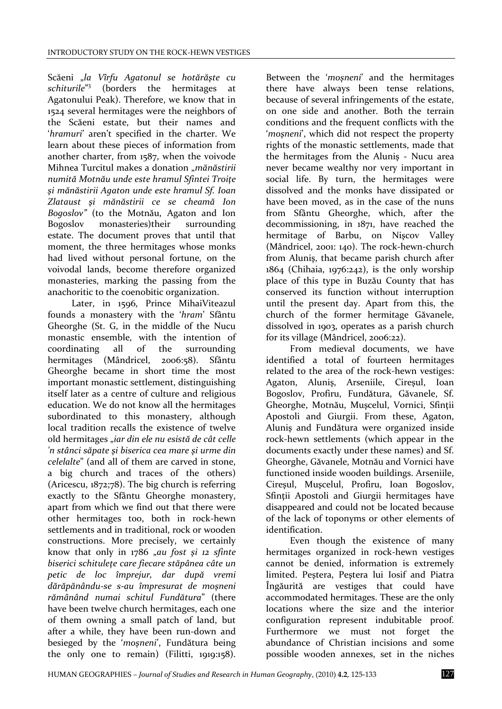Scăeni "*la Vîrfu Agatonul se hotărăşte cu schiturile*" 3 (borders the hermitages at Agatonului Peak). Therefore, we know that in 1524 several hermitages were the neighbors of the Scăeni estate, but their names and '*hramuri*' aren't specified in the charter. We learn about these pieces of information from another charter, from 1587, when the voivode Mihnea Turcitul makes a donation "*mănăstirii numită Motnău unde este hramul Sfintei Troiţe şi mănăstirii Agaton unde este hramul Sf. Ioan Zlataust şi mănăstirii ce se cheamă Ion Bogoslov"* (to the Motnău, Agaton and Ion Bogoslov monasteries)their surrounding estate. The document proves that until that moment, the three hermitages whose monks had lived without personal fortune, on the voivodal lands, become therefore organized monasteries, marking the passing from the anachoritic to the coenobitic organization.

Later, in 1596, Prince MihaiViteazul founds a monastery with the '*hram*' Sfântu Gheorghe (St. G, in the middle of the Nucu monastic ensemble, with the intention of coordinating all of the surrounding hermitages (Mândricel, 2006:58). Sfântu Gheorghe became in short time the most important monastic settlement, distinguishing itself later as a centre of culture and religious education. We do not know all the hermitages subordinated to this monastery, although local tradition recalls the existence of twelve old hermitages "*iar din ele nu esistă de cât celle 'n stânci săpate şi biserica cea mare şi urme din celelalte*" (and all of them are carved in stone, a big church and traces of the others) (Aricescu, 1872;78). The big church is referring exactly to the Sfântu Gheorghe monastery, apart from which we find out that there were other hermitages too, both in rock-hewn settlements and in traditional, rock or wooden constructions. More precisely, we certainly know that only in 1786 "*au fost şi 12 sfinte biserici schituleţe care fiecare stăpânea câte un petic de loc împrejur, dar după vremi dărăpănându-se s-au împresurat de moşneni rămânând numai schitul Fundătura*" (there have been twelve church hermitages, each one of them owning a small patch of land, but after a while, they have been run-down and besieged by the '*moşneni*', Fundătura being the only one to remain) (Filitti, 1919:158).

Between the '*moşneni*' and the hermitages there have always been tense relations, because of several infringements of the estate, on one side and another. Both the terrain conditions and the frequent conflicts with the '*moşneni*', which did not respect the property rights of the monastic settlements, made that the hermitages from the Aluniş - Nucu area never became wealthy nor very important in social life. By turn, the hermitages were dissolved and the monks have dissipated or have been moved, as in the case of the nuns from Sfântu Gheorghe, which, after the decommissioning, in 1871, have reached the hermitage of Barbu, on Nişcov Valley (Mândricel, 2001: 140). The rock-hewn-church from Aluniş, that became parish church after 1864 (Chihaia, 1976:242), is the only worship place of this type in Buzău County that has conserved its function without interruption until the present day. Apart from this, the church of the former hermitage Găvanele, dissolved in 1903, operates as a parish church for its village (Mândricel, 2006:22).

From medieval documents, we have identified a total of fourteen hermitages related to the area of the rock-hewn vestiges: Agaton, Aluniş, Arseniile, Cireşul, Ioan Bogoslov, Profiru, Fundătura, Găvanele, Sf. Gheorghe, Motnău, Muşcelul, Vornici, Sfinţii Apostoli and Giurgii. From these, Agaton, Aluniş and Fundătura were organized inside rock-hewn settlements (which appear in the documents exactly under these names) and Sf. Gheorghe, Găvanele, Motnău and Vornici have functioned inside wooden buildings. Arseniile, Cireşul, Muşcelul, Profiru, Ioan Bogoslov, Sfintii Apostoli and Giurgii hermitages have disappeared and could not be located because of the lack of toponyms or other elements of identification.

Even though the existence of many hermitages organized in rock-hewn vestiges cannot be denied, information is extremely limited. Peştera, Peştera lui Iosif and Piatra Îngăurită are vestiges that could have accommodated hermitages. These are the only locations where the size and the interior configuration represent indubitable proof. Furthermore we must not forget the abundance of Christian incisions and some possible wooden annexes, set in the niches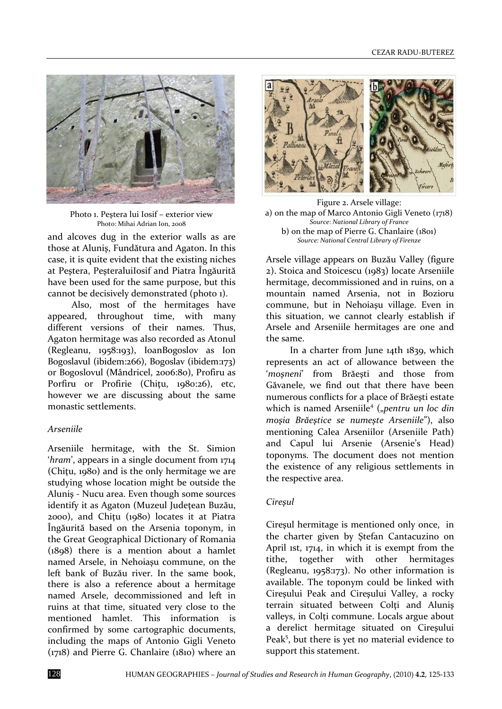

Photo 1. Peştera lui Iosif – exterior view Photo: Mihai Adrian Ion, 2008

and alcoves dug in the exterior walls as are those at Aluniş, Fundătura and Agaton. In this case, it is quite evident that the existing niches at Peştera, PeşteraluiIosif and Piatra Îngăurită have been used for the same purpose, but this cannot be decisively demonstrated (photo 1).

Also, most of the hermitages have appeared, throughout time, with many different versions of their names. Thus, Agaton hermitage was also recorded as Atonul (Regleanu, 1958:193), IoanBogoslov as Ion Bogoslavul (ibidem:266), Bogoslav (ibidem:173) or Bogoslovul (Mândricel, 2006:80), Profiru as Porfiru or Profirie (Chitu, 1980:26), etc, however we are discussing about the same monastic settlements.

### *Arseniile*

Arseniile hermitage, with the St. Simion '*hram*', appears in a single document from 1714 (Chiţu, 1980) and is the only hermitage we are studying whose location might be outside the Aluniş - Nucu area. Even though some sources identify it as Agaton (Muzeul Judetean Buzău, 2000), and Chiţu (1980) locates it at Piatra Îngăurită based on the Arsenia toponym, in the Great Geographical Dictionary of Romania  $(1898)$  there is a mention about a hamlet named Arsele, in Nehoiaşu commune, on the left bank of Buzău river. In the same book, there is also a reference about a hermitage named Arsele, decommissioned and left in ruins at that time, situated very close to the mentioned hamlet. This information is confirmed by some cartographic documents, including the maps of Antonio Gigli Veneto (1718) and Pierre G. Chanlaire (1810) where an



Figure 2. Arsele village: a) on the map of Marco Antonio Gigli Veneto (1718) *Source*: *National Library of France* b) on the map of Pierre G. Chanlaire (1801) *Source: National Central Library of Firenze*

Arsele village appears on Buzău Valley (figure 2). Stoica and Stoicescu (1983) locate Arseniile hermitage, decommissioned and in ruins, on a mountain named Arsenia, not in Bozioru commune, but in Nehoiaşu village. Even in this situation, we cannot clearly establish if Arsele and Arseniile hermitages are one and the same.

In a charter from June 14th 1839, which represents an act of allowance between the '*moşneni*' from Brăeşti and those from Găvanele, we find out that there have been numerous conflicts for a place of Brăeşti estate which is named Arseniile<sup>4</sup> ("pentru un loc din *moşia Brăeştice se numeşte Arseniile*"), also mentioning Calea Arseniilor (Arseniile Path) and Capul lui Arsenie (Arsenie's Head) toponyms. The document does not mention the existence of any religious settlements in the respective area.

### *Cireşul*

Cireşul hermitage is mentioned only once, in the charter given by Ştefan Cantacuzino on April 1st, 1714, in which it is exempt from the tithe, together with other hermitages (Regleanu, 1958:173). No other information is available. The toponym could be linked with Cireşului Peak and Cireşului Valley, a rocky terrain situated between Colti and Alunis valleys, in Colti commune. Locals argue about a derelict hermitage situated on Cireşului Peak<sup>5</sup>, but there is yet no material evidence to support this statement.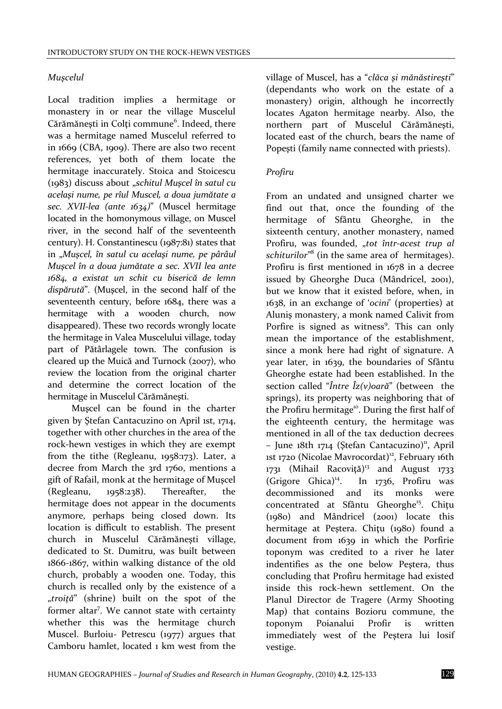### *Muşcelul*

Local tradition implies a hermitage or monastery in or near the village Muscelul Cărămănești in Colți commune<sup>6</sup>. Indeed, there was a hermitage named Muscelul referred to in 1669 (CBA, 1909). There are also two recent references, yet both of them locate the hermitage inaccurately. Stoica and Stoicescu (1983) discuss about "*schitul Muşcel în satul cu acelaşi nume, pe rîul Muscel, a doua jumătate a sec. XVII-lea (ante 1634)*" (Muscel hermitage located in the homonymous village, on Muscel river, in the second half of the seventeenth century). H. Constantinescu (1987:81) states that in "*Muşcel, în satul cu acelaşi nume, pe pârâul Muşcel în a doua jumătate a sec. XVII lea ante 1684, a existat un schit cu biserică de lemn dispărută*". (Muşcel, in the second half of the seventeenth century, before 1684, there was a hermitage with a wooden church, now disappeared). These two records wrongly locate the hermitage in Valea Muscelului village, today part of Pătârlagele town. The confusion is cleared up the Muică and Turnock (2007), who review the location from the original charter and determine the correct location of the hermitage in Muscelul Cărămăneşti.

Muşcel can be found in the charter given by Ştefan Cantacuzino on April 1st, 1714, together with other churches in the area of the rock-hewn vestiges in which they are exempt from the tithe (Regleanu, 1958:173). Later, a decree from March the 3rd 1760, mentions a gift of Rafail, monk at the hermitage of Muşcel (Regleanu, 1958:238). Thereafter, the hermitage does not appear in the documents anymore, perhaps being closed down. Its location is difficult to establish. The present church in Muscelul Cărămăneşti village, dedicated to St. Dumitru, was built between 1866-1867, within walking distance of the old church, probably a wooden one. Today, this church is recalled only by the existence of a "*troiţă*" (shrine) built on the spot of the former altar<sup>7</sup>. We cannot state with certainty whether this was the hermitage church Muscel. Burloiu- Petrescu (1977) argues that Camboru hamlet, located 1 km west from the

village of Muscel, has a "*clăca şi mănăstireşti*" (dependants who work on the estate of a monastery) origin, although he incorrectly locates Agaton hermitage nearby. Also, the northern part of Muscelul Cărămăneşti, located east of the church, bears the name of Popeşti (family name connected with priests).

### *Profiru*

From an undated and unsigned charter we find out that, once the founding of the hermitage of Sfântu Gheorghe, in the sixteenth century, another monastery, named Profiru, was founded, "tot într-acest trup al *schiturilor*" 8 (in the same area of hermitages). Profiru is first mentioned in 1678 in a decree issued by Gheorghe Duca (Mândricel, 2001), but we know that it existed before, when, in 1638, in an exchange of '*ocini*' (properties) at Aluniş monastery, a monk named Calivit from Porfire is signed as witness<sup>9</sup>. This can only mean the importance of the establishment, since a monk here had right of signature. A year later, in 1639, the boundaries of Sfântu Gheorghe estate had been established. In the section called "*Între Îz(v)oară*" (between the springs), its property was neighboring that of the Profiru hermitage<sup>10</sup>. During the first half of the eighteenth century, the hermitage was mentioned in all of the tax deduction decrees  $-$  June 18th 1714 (Stefan Cantacuzino)<sup>11</sup>, April 1st 1720 (Nicolae Mavrocordat)<sup>12</sup>, February 16th  $1731$  (Mihail Racoviță)<sup>13</sup> and August  $1733$ (Grigore Ghica)<sup>14</sup>. In 1736, Profiru was decommissioned and its monks were concentrated at Sfântu Gheorghe<sup>15</sup>. Chițu (1980) and Mândricel (2001) locate this hermitage at Peştera. Chiţu (1980) found a document from 1639 in which the Porfirie toponym was credited to a river he later indentifies as the one below Peştera, thus concluding that Profiru hermitage had existed inside this rock-hewn settlement. On the Planul Director de Tragere (Army Shooting Map) that contains Bozioru commune, the toponym Poianalui Profir is written immediately west of the Peştera lui Iosif vestige.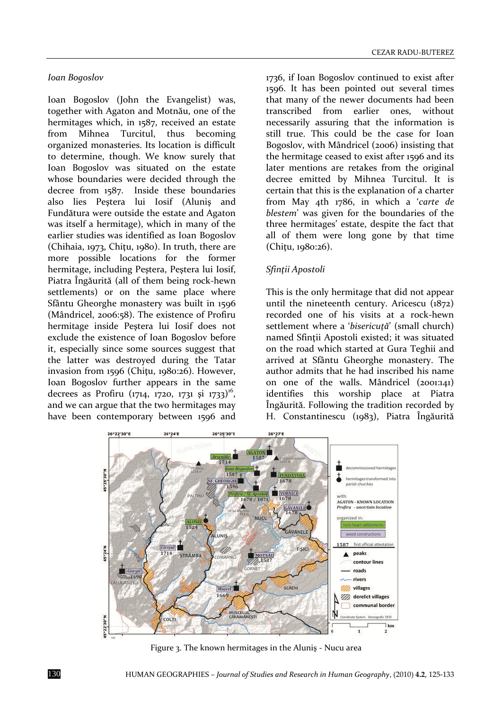#### *Ioan Bogoslov*

Ioan Bogoslov (John the Evangelist) was, together with Agaton and Motnău, one of the hermitages which, in 1587, received an estate from Mihnea Turcitul, thus becoming organized monasteries. Its location is difficult to determine, though. We know surely that Ioan Bogoslov was situated on the estate whose boundaries were decided through the decree from 1587. Inside these boundaries also lies Peştera lui Iosif (Aluniş and Fundătura were outside the estate and Agaton was itself a hermitage), which in many of the earlier studies was identified as Ioan Bogoslov (Chihaia, 1973, Chiţu, 1980). In truth, there are more possible locations for the former hermitage, including Peştera, Peştera lui Iosif, Piatra Îngăurită (all of them being rock-hewn settlements) or on the same place where Sfântu Gheorghe monastery was built in 1596 (Mândricel, 2006:58). The existence of Profiru hermitage inside Peştera lui Iosif does not exclude the existence of Ioan Bogoslov before it, especially since some sources suggest that the latter was destroyed during the Tatar invasion from 1596 (Chiţu, 1980:26). However, Ioan Bogoslov further appears in the same decrees as Profiru (1714, 1720, 1731 și 1733)<sup>16</sup>, and we can argue that the two hermitages may have been contemporary between 1596 and

1736, if Ioan Bogoslov continued to exist after 1596. It has been pointed out several times that many of the newer documents had been transcribed from earlier ones, without necessarily assuring that the information is still true. This could be the case for Ioan Bogoslov, with Mândricel (2006) insisting that the hermitage ceased to exist after 1596 and its later mentions are retakes from the original decree emitted by Mihnea Turcitul. It is certain that this is the explanation of a charter from May 4th 1786, in which a '*carte de blestem*' was given for the boundaries of the three hermitages' estate, despite the fact that all of them were long gone by that time (Chitu, 1980:26).

### *Sfinţii Apostoli*

This is the only hermitage that did not appear until the nineteenth century. Aricescu (1872) recorded one of his visits at a rock-hewn settlement where a '*bisericută*' (small church) named Sfintii Apostoli existed; it was situated on the road which started at Gura Teghii and arrived at Sfântu Gheorghe monastery. The author admits that he had inscribed his name on one of the walls. Mândricel (2001:141) identifies this worship place at Piatra Îngăurită. Following the tradition recorded by H. Constantinescu (1983), Piatra Îngăurită



Figure 3. The known hermitages in the Aluniş - Nucu area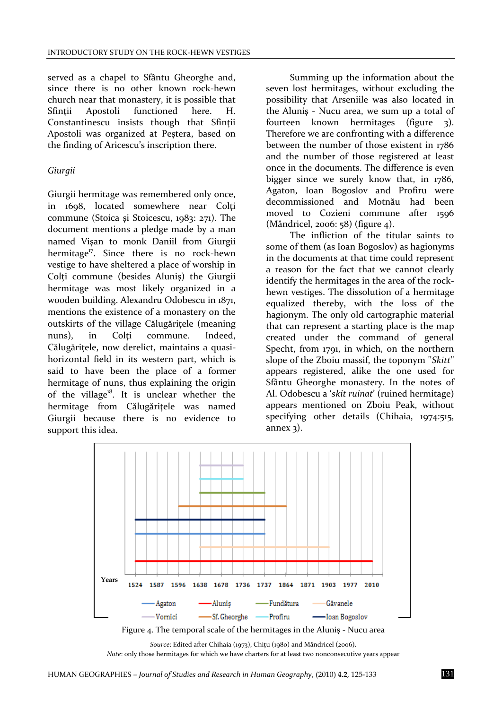served as a chapel to Sfântu Gheorghe and, since there is no other known rock-hewn church near that monastery, it is possible that Sfintii Apostoli functioned here. H. Constantinescu insists though that Sfintii Apostoli was organized at Peştera, based on the finding of Aricescu's inscription there.

### *Giurgii*

Giurgii hermitage was remembered only once, in 1698, located somewhere near Colti commune (Stoica şi Stoicescu, 1983: 271). The document mentions a pledge made by a man named Vişan to monk Daniil from Giurgii hermitage<sup>17</sup>. Since there is no rock-hewn vestige to have sheltered a place of worship in Colți commune (besides Aluniș) the Giurgii hermitage was most likely organized in a wooden building. Alexandru Odobescu in 1871, mentions the existence of a monastery on the outskirts of the village Călugăriţele (meaning nuns), in Colti commune. Indeed, Călugăritele, now derelict, maintains a quasihorizontal field in its western part, which is said to have been the place of a former hermitage of nuns, thus explaining the origin of the village $^{18}$ . It is unclear whether the hermitage from Călugăriţele was named Giurgii because there is no evidence to support this idea.

Summing up the information about the seven lost hermitages, without excluding the possibility that Arseniile was also located in the Aluniş - Nucu area, we sum up a total of fourteen known hermitages (figure 3). Therefore we are confronting with a difference between the number of those existent in 1786 and the number of those registered at least once in the documents. The difference is even bigger since we surely know that, in 1786, Agaton, Ioan Bogoslov and Profiru were decommissioned and Motnău had been moved to Cozieni commune after 1596 (Mândricel, 2006: 58) (figure 4).

The infliction of the titular saints to some of them (as Ioan Bogoslov) as hagionyms in the documents at that time could represent a reason for the fact that we cannot clearly identify the hermitages in the area of the rockhewn vestiges. The dissolution of a hermitage equalized thereby, with the loss of the hagionym. The only old cartographic material that can represent a starting place is the map created under the command of general Specht, from 1791, in which, on the northern slope of the Zboiu massif, the toponym ''*Skitt*'' appears registered, alike the one used for Sfântu Gheorghe monastery. In the notes of Al. Odobescu a '*skit ruinat*' (ruined hermitage) appears mentioned on Zboiu Peak, without specifying other details (Chihaia, 1974:515, annex  $3$ ).



*Source*: Edited after Chihaia (1973), Chiţu (1980) and Mândricel (2006). *Note*: only those hermitages for which we have charters for at least two nonconsecutive years appear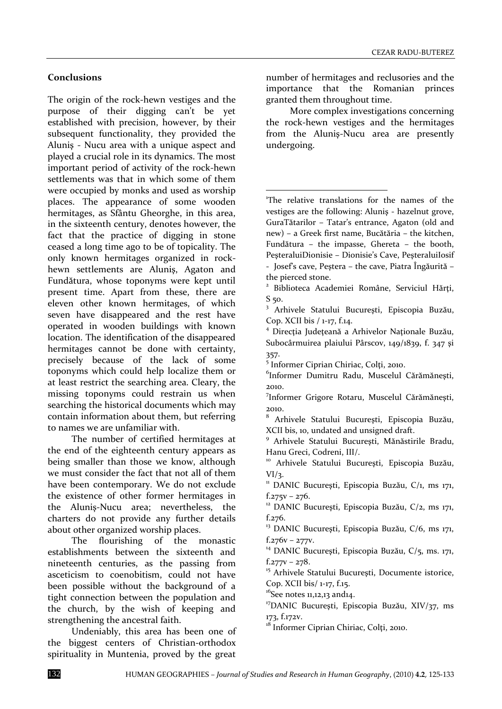## **Conclusions**

The origin of the rock-hewn vestiges and the purpose of their digging can't be yet established with precision, however, by their subsequent functionality, they provided the Aluniş - Nucu area with a unique aspect and played a crucial role in its dynamics. The most important period of activity of the rock-hewn settlements was that in which some of them were occupied by monks and used as worship places. The appearance of some wooden hermitages, as Sfântu Gheorghe, in this area, in the sixteenth century, denotes however, the fact that the practice of digging in stone ceased a long time ago to be of topicality. The only known hermitages organized in rockhewn settlements are Aluniş, Agaton and Fundătura, whose toponyms were kept until present time. Apart from these, there are eleven other known hermitages, of which seven have disappeared and the rest have operated in wooden buildings with known location. The identification of the disappeared hermitages cannot be done with certainty, precisely because of the lack of some toponyms which could help localize them or at least restrict the searching area. Cleary, the missing toponyms could restrain us when searching the historical documents which may contain information about them, but referring to names we are unfamiliar with.

The number of certified hermitages at the end of the eighteenth century appears as being smaller than those we know, although we must consider the fact that not all of them have been contemporary. We do not exclude the existence of other former hermitages in the Aluniş-Nucu area; nevertheless, the charters do not provide any further details about other organized worship places.

The flourishing of the monastic establishments between the sixteenth and nineteenth centuries, as the passing from asceticism to coenobitism, could not have been possible without the background of a tight connection between the population and the church, by the wish of keeping and strengthening the ancestral faith.

Undeniably, this area has been one of the biggest centers of Christian-orthodox spirituality in Muntenia, proved by the great

number of hermitages and reclusories and the importance that the Romanian princes granted them throughout time.

More complex investigations concerning the rock-hewn vestiges and the hermitages from the Aluniş-Nucu area are presently undergoing.

1 The relative translations for the names of the vestiges are the following: Aluniş - hazelnut grove, GuraTătarilor – Tatar's entrance, Agaton (old and new) – a Greek first name, Bucătăria – the kitchen, Fundătura – the impasse, Ghereta – the booth, PeşteraluiDionisie – Dionisie's Cave, PeşteraluiIosif - Josef's cave, Peştera – the cave, Piatra Îngăurită – the pierced stone.

1

<sup>&</sup>lt;sup>2</sup> Biblioteca Academiei Române, Serviciul Hărți, S 50.

<sup>&</sup>lt;sup>3</sup> Arhivele Statului București, Episcopia Buzău, Cop. XCII bis / 1-17, f.14.

<sup>4</sup> Direcţia Judeţeană a Arhivelor Naţionale Buzău, Subocârmuirea plaiului Pârscov, 149/1839, f. 347 şi 357.

<sup>5</sup> Informer Ciprian Chiriac, Colţi, 2010.

<sup>6</sup> Informer Dumitru Radu, Muscelul Cărămăneşti, 2010.

<sup>7</sup> Informer Grigore Rotaru, Muscelul Cărămăneşti, 2010.

<sup>8</sup> Arhivele Statului Bucureşti, Episcopia Buzău, XCII bis, 10, undated and unsigned draft.

<sup>&</sup>lt;sup>9</sup> Arhivele Statului București, Mănăstirile Bradu, Hanu Greci, Codreni, III/.

<sup>&</sup>lt;sup>10</sup> Arhivele Statului București, Episcopia Buzău,  $VI/3$ .

<sup>&</sup>lt;sup>11</sup> DANIC București, Episcopia Buzău, C/1, ms 171, f.275v – 276.

 $12$  DANIC București, Episcopia Buzău, C/2, ms 171, f.276.

<sup>&</sup>lt;sup>13</sup> DANIC București, Episcopia Buzău, C/6, ms 171,  $f.276v - 277v.$ 

<sup>&</sup>lt;sup>14</sup> DANIC București, Episcopia Buzău,  $C/5$ , ms. 171, f.277v – 278.

<sup>&</sup>lt;sup>15</sup> Arhivele Statului București, Documente istorice, Cop. XCII bis/ 1-17, f.15.

 $16$ See notes 11,12,13 and14.

<sup>&</sup>lt;sup>17</sup>DANIC București, Episcopia Buzău, XIV/37, ms 173, f.172v.

<sup>&</sup>lt;sup>18</sup> Informer Ciprian Chiriac, Colti, 2010.